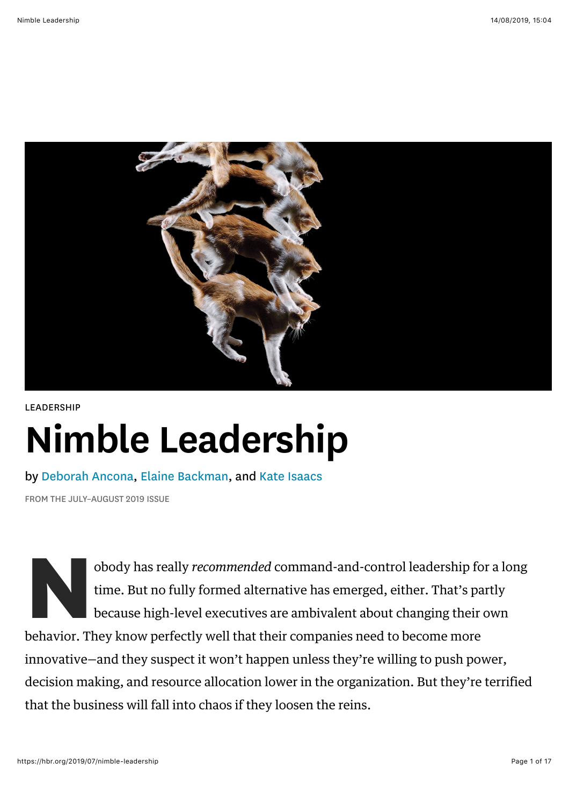

# **[LEADERSHIP](https://hbr.org/topic/leadership)** Nimble Leadership

by [Deborah Ancona,](https://hbr.org/search?term=deborah%20ancona) [Elaine Backman,](https://hbr.org/search?term=elaine%20backman) and [Kate Isaacs](https://hbr.org/search?term=kate%20isaacs)

FROM THE JULY–AUGUST 2019 ISSUE

obody has really *recommended* command-and-control leadership for a long time. But no fully formed alternative has emerged, either. That's partly because high-level executives are ambivalent about changing their own behavior. They know perfectly well that their companies need to become more

innovative—and they suspect it won't happen unless they're willing to push power, decision making, and resource allocation lower in the organization. But they're terrified that the business will fall into chaos if they loosen the reins.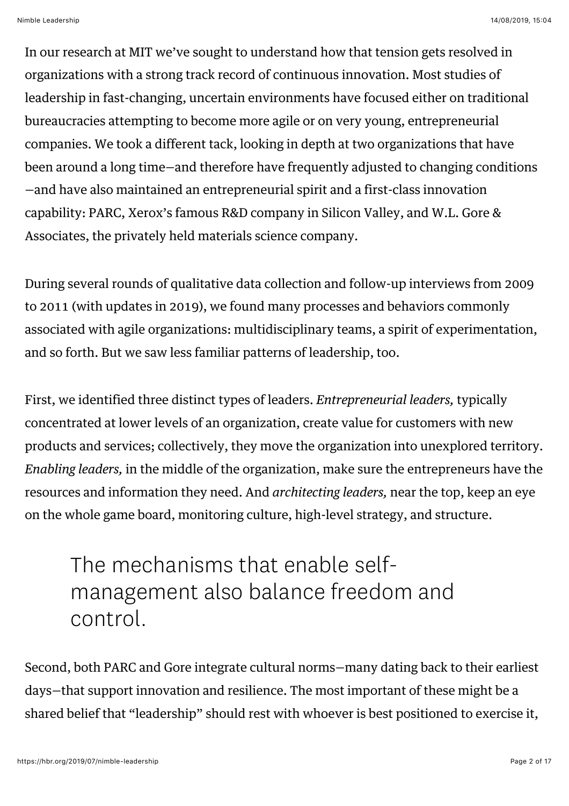In our research at MIT we've sought to understand how that tension gets resolved in organizations with a strong track record of continuous innovation. Most studies of leadership in fast-changing, uncertain environments have focused either on traditional bureaucracies attempting to become more agile or on very young, entrepreneurial companies. We took a different tack, looking in depth at two organizations that have been around a long time—and therefore have frequently adjusted to changing conditions —and have also maintained an entrepreneurial spirit and a first-class innovation capability: PARC, Xerox's famous R&D company in Silicon Valley, and W.L. Gore & Associates, the privately held materials science company.

During several rounds of qualitative data collection and follow-up interviews from 2009 to 2011 (with updates in 2019), we found many processes and behaviors commonly associated with agile organizations: multidisciplinary teams, a spirit of experimentation, and so forth. But we saw less familiar patterns of leadership, too.

First, we identified three distinct types of leaders. *Entrepreneurial leaders,* typically concentrated at lower levels of an organization, create value for customers with new products and services; collectively, they move the organization into unexplored territory. *Enabling leaders,* in the middle of the organization, make sure the entrepreneurs have the resources and information they need. And *architecting leaders,* near the top, keep an eye on the whole game board, monitoring culture, high-level strategy, and structure.

# The mechanisms that enable selfmanagement also balance freedom and control.

Second, both PARC and Gore integrate cultural norms—many dating back to their earliest days—that support innovation and resilience. The most important of these might be a shared belief that "leadership" should rest with whoever is best positioned to exercise it,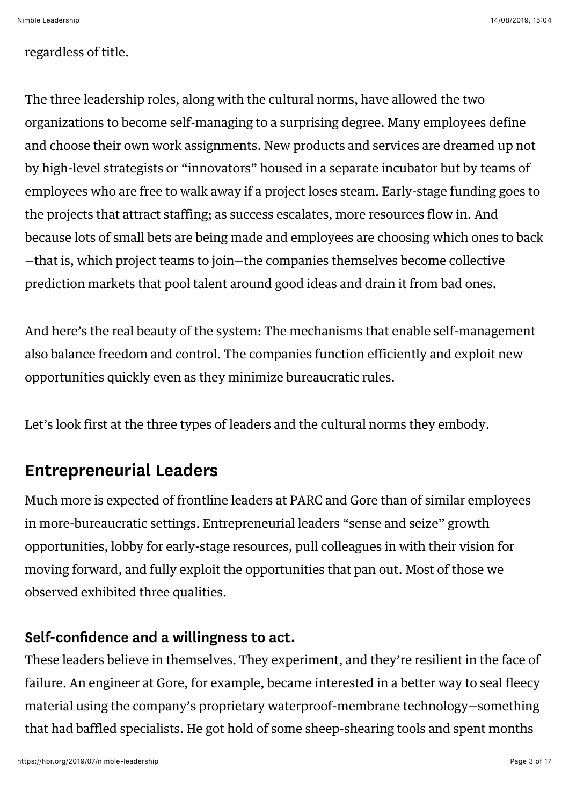#### regardless of title.

The three leadership roles, along with the cultural norms, have allowed the two organizations to become self-managing to a surprising degree. Many employees define and choose their own work assignments. New products and services are dreamed up not by high-level strategists or "innovators" housed in a separate incubator but by teams of employees who are free to walk away if a project loses steam. Early-stage funding goes to the projects that attract staffing; as success escalates, more resources flow in. And because lots of small bets are being made and employees are choosing which ones to back —that is, which project teams to join—the companies themselves become collective prediction markets that pool talent around good ideas and drain it from bad ones.

And here's the real beauty of the system: The mechanisms that enable self-management also balance freedom and control. The companies function efficiently and exploit new opportunities quickly even as they minimize bureaucratic rules.

Let's look first at the three types of leaders and the cultural norms they embody.

## Entrepreneurial Leaders

Much more is expected of frontline leaders at PARC and Gore than of similar employees in more-bureaucratic settings. Entrepreneurial leaders "sense and seize" growth opportunities, lobby for early-stage resources, pull colleagues in with their vision for moving forward, and fully exploit the opportunities that pan out. Most of those we observed exhibited three qualities.

### Self-confidence and a willingness to act.

These leaders believe in themselves. They experiment, and they're resilient in the face of failure. An engineer at Gore, for example, became interested in a better way to seal fleecy material using the company's proprietary waterproof-membrane technology—something that had baffled specialists. He got hold of some sheep-shearing tools and spent months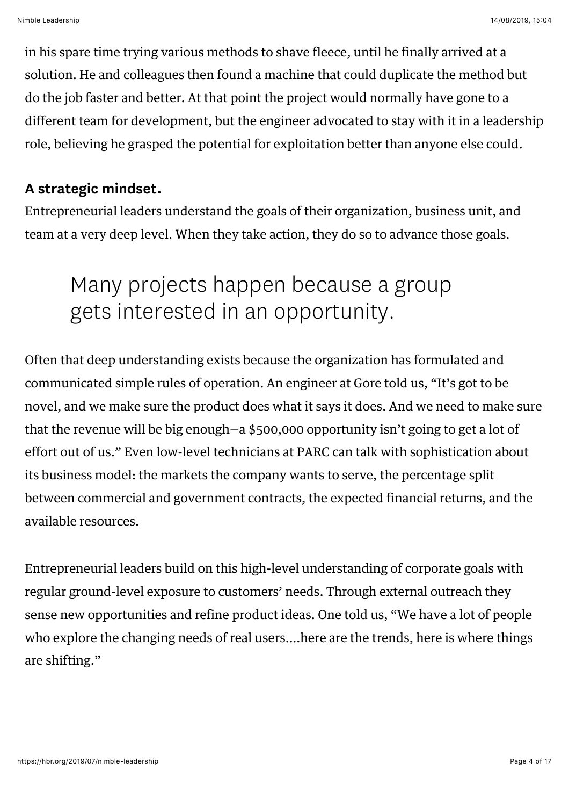in his spare time trying various methods to shave fleece, until he finally arrived at a solution. He and colleagues then found a machine that could duplicate the method but do the job faster and better. At that point the project would normally have gone to a different team for development, but the engineer advocated to stay with it in a leadership role, believing he grasped the potential for exploitation better than anyone else could.

## A strategic mindset.

Entrepreneurial leaders understand the goals of their organization, business unit, and team at a very deep level. When they take action, they do so to advance those goals.

# Many projects happen because a group gets interested in an opportunity.

Often that deep understanding exists because the organization has formulated and communicated simple rules of operation. An engineer at Gore told us, "It's got to be novel, and we make sure the product does what it says it does. And we need to make sure that the revenue will be big enough—a \$500,000 opportunity isn't going to get a lot of effort out of us." Even low-level technicians at PARC can talk with sophistication about its business model: the markets the company wants to serve, the percentage split between commercial and government contracts, the expected financial returns, and the available resources.

Entrepreneurial leaders build on this high-level understanding of corporate goals with regular ground-level exposure to customers' needs. Through external outreach they sense new opportunities and refine product ideas. One told us, "We have a lot of people who explore the changing needs of real users….here are the trends, here is where things are shifting."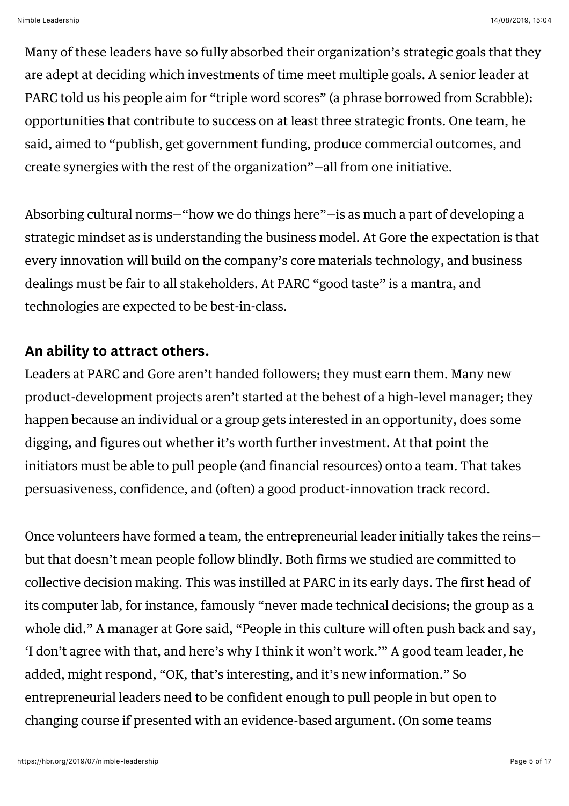Many of these leaders have so fully absorbed their organization's strategic goals that they are adept at deciding which investments of time meet multiple goals. A senior leader at PARC told us his people aim for "triple word scores" (a phrase borrowed from Scrabble): opportunities that contribute to success on at least three strategic fronts. One team, he said, aimed to "publish, get government funding, produce commercial outcomes, and create synergies with the rest of the organization"—all from one initiative.

Absorbing cultural norms—"how we do things here"—is as much a part of developing a strategic mindset as is understanding the business model. At Gore the expectation is that every innovation will build on the company's core materials technology, and business dealings must be fair to all stakeholders. At PARC "good taste" is a mantra, and technologies are expected to be best-in-class.

#### An ability to attract others.

Leaders at PARC and Gore aren't handed followers; they must earn them. Many new product-development projects aren't started at the behest of a high-level manager; they happen because an individual or a group gets interested in an opportunity, does some digging, and figures out whether it's worth further investment. At that point the initiators must be able to pull people (and financial resources) onto a team. That takes persuasiveness, confidence, and (often) a good product-innovation track record.

Once volunteers have formed a team, the entrepreneurial leader initially takes the reins but that doesn't mean people follow blindly. Both firms we studied are committed to collective decision making. This was instilled at PARC in its early days. The first head of its computer lab, for instance, famously "never made technical decisions; the group as a whole did." A manager at Gore said, "People in this culture will often push back and say, 'I don't agree with that, and here's why I think it won't work.'" A good team leader, he added, might respond, "OK, that's interesting, and it's new information." So entrepreneurial leaders need to be confident enough to pull people in but open to changing course if presented with an evidence-based argument. (On some teams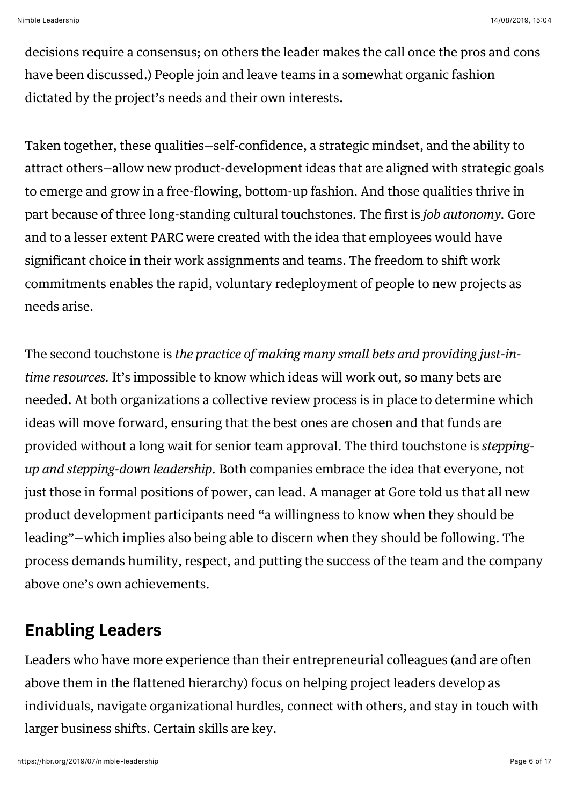decisions require a consensus; on others the leader makes the call once the pros and cons have been discussed.) People join and leave teams in a somewhat organic fashion dictated by the project's needs and their own interests.

Taken together, these qualities—self-confidence, a strategic mindset, and the ability to attract others—allow new product-development ideas that are aligned with strategic goals to emerge and grow in a free-flowing, bottom-up fashion. And those qualities thrive in part because of three long-standing cultural touchstones. The first is *job autonomy.* Gore and to a lesser extent PARC were created with the idea that employees would have significant choice in their work assignments and teams. The freedom to shift work commitments enables the rapid, voluntary redeployment of people to new projects as needs arise.

The second touchstone is *the practice of making many small bets and providing just-intime resources.* It's impossible to know which ideas will work out, so many bets are needed. At both organizations a collective review process is in place to determine which ideas will move forward, ensuring that the best ones are chosen and that funds are provided without a long wait for senior team approval. The third touchstone is *steppingup and stepping-down leadership.* Both companies embrace the idea that everyone, not just those in formal positions of power, can lead. A manager at Gore told us that all new product development participants need "a willingness to know when they should be leading"—which implies also being able to discern when they should be following. The process demands humility, respect, and putting the success of the team and the company above one's own achievements.

## Enabling Leaders

Leaders who have more experience than their entrepreneurial colleagues (and are often above them in the flattened hierarchy) focus on helping project leaders develop as individuals, navigate organizational hurdles, connect with others, and stay in touch with larger business shifts. Certain skills are key.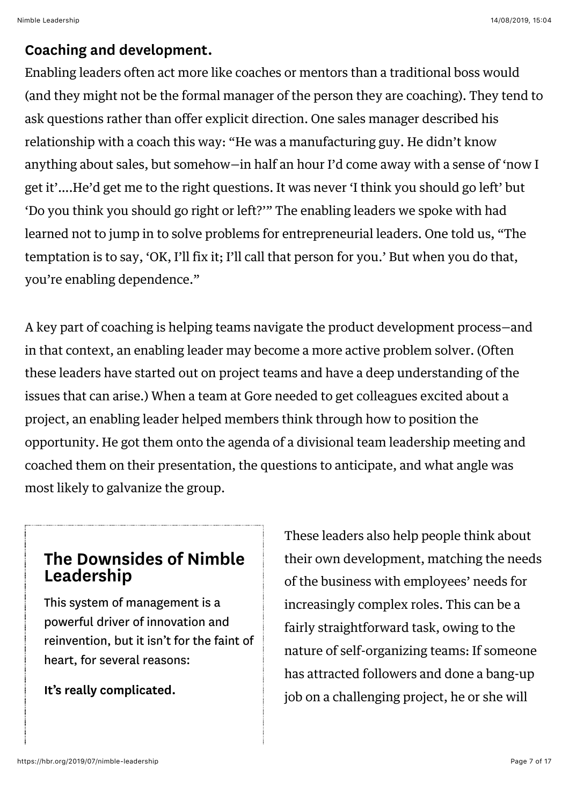### Coaching and development.

Enabling leaders often act more like coaches or mentors than a traditional boss would (and they might not be the formal manager of the person they are coaching). They tend to ask questions rather than offer explicit direction. One sales manager described his relationship with a coach this way: "He was a manufacturing guy. He didn't know anything about sales, but somehow—in half an hour I'd come away with a sense of 'now I get it'….He'd get me to the right questions. It was never 'I think you should go left' but 'Do you think you should go right or left?'" The enabling leaders we spoke with had learned not to jump in to solve problems for entrepreneurial leaders. One told us, "The temptation is to say, 'OK, I'll fix it; I'll call that person for you.' But when you do that, you're enabling dependence."

A key part of coaching is helping teams navigate the product development process—and in that context, an enabling leader may become a more active problem solver. (Often these leaders have started out on project teams and have a deep understanding of the issues that can arise.) When a team at Gore needed to get colleagues excited about a project, an enabling leader helped members think through how to position the opportunity. He got them onto the agenda of a divisional team leadership meeting and coached them on their presentation, the questions to anticipate, and what angle was most likely to galvanize the group.

## The Downsides of Nimble Leadership

This system of management is a powerful driver of innovation and reinvention, but it isn't for the faint of heart, for several reasons:

It's really complicated.

These leaders also help people think about their own development, matching the needs of the business with employees' needs for increasingly complex roles. This can be a fairly straightforward task, owing to the nature of self-organizing teams: If someone has attracted followers and done a bang-up job on a challenging project, he or she will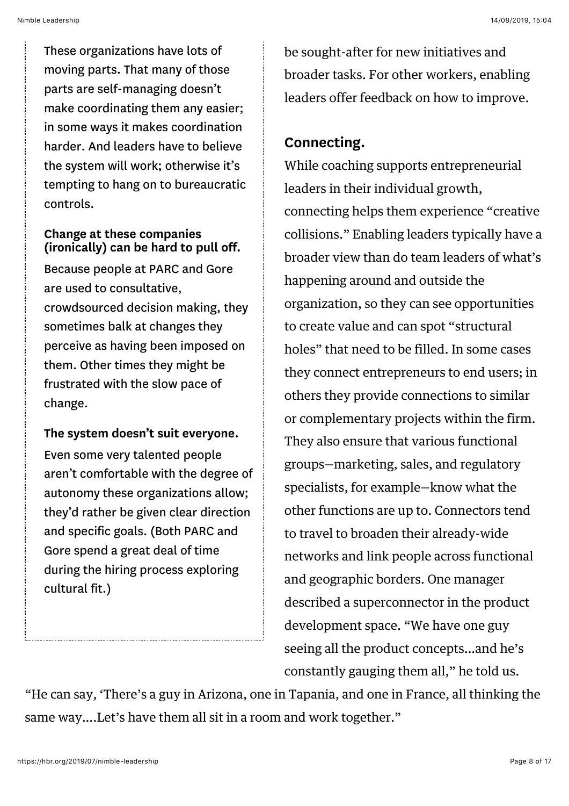These organizations have lots of moving parts. That many of those parts are self-managing doesn't make coordinating them any easier; in some ways it makes coordination harder. And leaders have to believe the system will work; otherwise it's tempting to hang on to bureaucratic controls.

#### Change at these companies (ironically) can be hard to pull off.

Because people at PARC and Gore are used to consultative, crowdsourced decision making, they sometimes balk at changes they perceive as having been imposed on them. Other times they might be frustrated with the slow pace of change.

The system doesn't suit everyone. Even some very talented people aren't comfortable with the degree of autonomy these organizations allow; they'd rather be given clear direction and specific goals. (Both PARC and Gore spend a great deal of time during the hiring process exploring cultural fit.)

be sought-after for new initiatives and broader tasks. For other workers, enabling leaders offer feedback on how to improve.

## Connecting.

While coaching supports entrepreneurial leaders in their individual growth, connecting helps them experience "creative collisions." Enabling leaders typically have a broader view than do team leaders of what's happening around and outside the organization, so they can see opportunities to create value and can spot "structural holes" that need to be filled. In some cases they connect entrepreneurs to end users; in others they provide connections to similar or complementary projects within the firm. They also ensure that various functional groups—marketing, sales, and regulatory specialists, for example—know what the other functions are up to. Connectors tend to travel to broaden their already-wide networks and link people across functional and geographic borders. One manager described a superconnector in the product development space. "We have one guy seeing all the product concepts…and he's constantly gauging them all," he told us.

"He can say, 'There's a guy in Arizona, one in Tapania, and one in France, all thinking the same way....Let's have them all sit in a room and work together."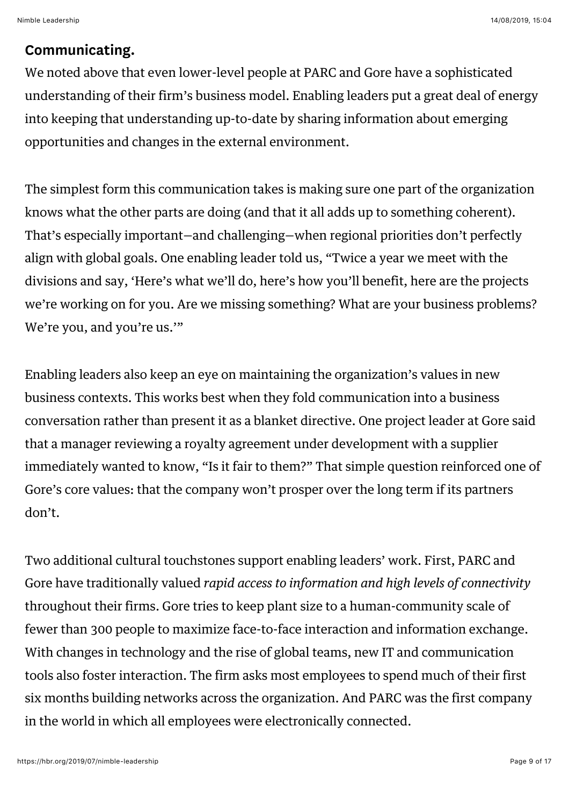## Communicating.

We noted above that even lower-level people at PARC and Gore have a sophisticated understanding of their firm's business model. Enabling leaders put a great deal of energy into keeping that understanding up-to-date by sharing information about emerging opportunities and changes in the external environment.

The simplest form this communication takes is making sure one part of the organization knows what the other parts are doing (and that it all adds up to something coherent). That's especially important—and challenging—when regional priorities don't perfectly align with global goals. One enabling leader told us, "Twice a year we meet with the divisions and say, 'Here's what we'll do, here's how you'll benefit, here are the projects we're working on for you. Are we missing something? What are your business problems? We're you, and you're us.""

Enabling leaders also keep an eye on maintaining the organization's values in new business contexts. This works best when they fold communication into a business conversation rather than present it as a blanket directive. One project leader at Gore said that a manager reviewing a royalty agreement under development with a supplier immediately wanted to know, "Is it fair to them?" That simple question reinforced one of Gore's core values: that the company won't prosper over the long term if its partners don't.

Two additional cultural touchstones support enabling leaders' work. First, PARC and Gore have traditionally valued *rapid access to information and high levels of connectivity* throughout their firms. Gore tries to keep plant size to a human-community scale of fewer than 300 people to maximize face-to-face interaction and information exchange. With changes in technology and the rise of global teams, new IT and communication tools also foster interaction. The firm asks most employees to spend much of their first six months building networks across the organization. And PARC was the first company in the world in which all employees were electronically connected.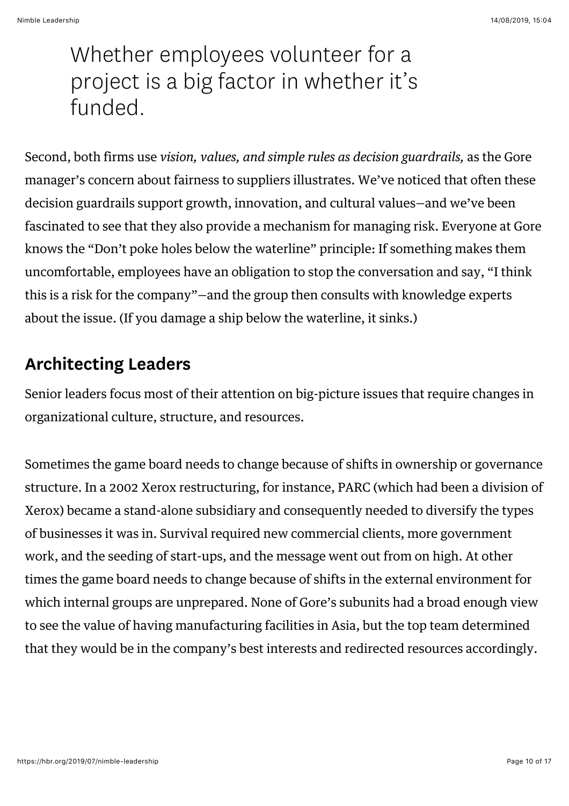# Whether employees volunteer for a project is a big factor in whether it's funded.

Second, both firms use *vision, values, and simple rules as decision guardrails,* as the Gore manager's concern about fairness to suppliers illustrates. We've noticed that often these decision guardrails support growth, innovation, and cultural values—and we've been fascinated to see that they also provide a mechanism for managing risk. Everyone at Gore knows the "Don't poke holes below the waterline" principle: If something makes them uncomfortable, employees have an obligation to stop the conversation and say, "I think this is a risk for the company"—and the group then consults with knowledge experts about the issue. (If you damage a ship below the waterline, it sinks.)

## Architecting Leaders

Senior leaders focus most of their attention on big-picture issues that require changes in organizational culture, structure, and resources.

Sometimes the game board needs to change because of shifts in ownership or governance structure. In a 2002 Xerox restructuring, for instance, PARC (which had been a division of Xerox) became a stand-alone subsidiary and consequently needed to diversify the types of businesses it was in. Survival required new commercial clients, more government work, and the seeding of start-ups, and the message went out from on high. At other times the game board needs to change because of shifts in the external environment for which internal groups are unprepared. None of Gore's subunits had a broad enough view to see the value of having manufacturing facilities in Asia, but the top team determined that they would be in the company's best interests and redirected resources accordingly.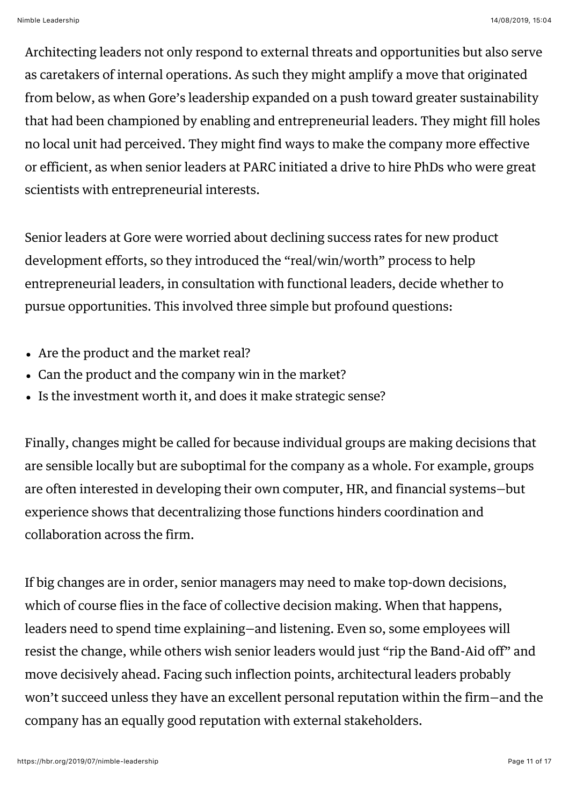Architecting leaders not only respond to external threats and opportunities but also serve as caretakers of internal operations. As such they might amplify a move that originated from below, as when Gore's leadership expanded on a push toward greater sustainability that had been championed by enabling and entrepreneurial leaders. They might fill holes no local unit had perceived. They might find ways to make the company more effective or efficient, as when senior leaders at PARC initiated a drive to hire PhDs who were great scientists with entrepreneurial interests.

Senior leaders at Gore were worried about declining success rates for new product development efforts, so they introduced the "real/win/worth" process to help entrepreneurial leaders, in consultation with functional leaders, decide whether to pursue opportunities. This involved three simple but profound questions:

- Are the product and the market real?
- Can the product and the company win in the market?
- Is the investment worth it, and does it make strategic sense?

Finally, changes might be called for because individual groups are making decisions that are sensible locally but are suboptimal for the company as a whole. For example, groups are often interested in developing their own computer, HR, and financial systems—but experience shows that decentralizing those functions hinders coordination and collaboration across the firm.

If big changes are in order, senior managers may need to make top-down decisions, which of course flies in the face of collective decision making. When that happens, leaders need to spend time explaining—and listening. Even so, some employees will resist the change, while others wish senior leaders would just "rip the Band-Aid off" and move decisively ahead. Facing such inflection points, architectural leaders probably won't succeed unless they have an excellent personal reputation within the firm—and the company has an equally good reputation with external stakeholders.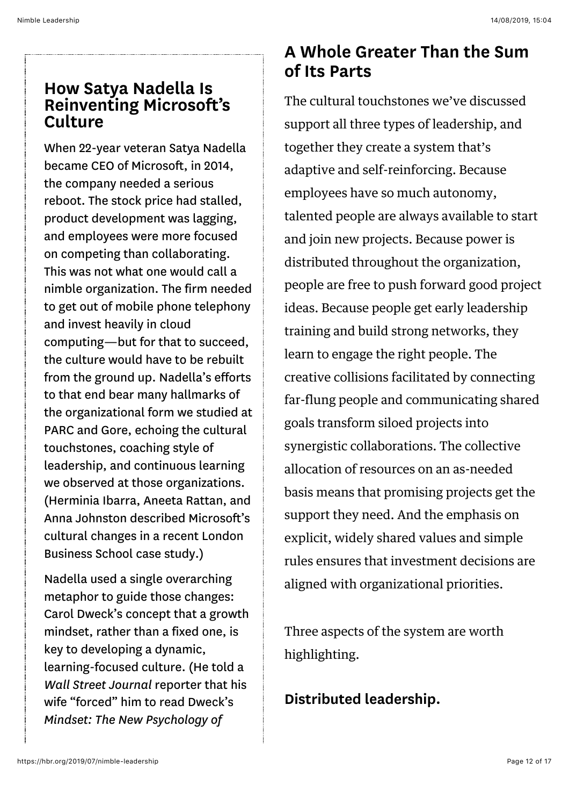## How Satya Nadella Is Reinventing Microsoft's Culture

When 22-year veteran Satya Nadella became CEO of Microsoft, in 2014, the company needed a serious reboot. The stock price had stalled, product development was lagging, and employees were more focused on competing than collaborating. This was not what one would call a nimble organization. The firm needed to get out of mobile phone telephony and invest heavily in cloud computing—but for that to succeed, the culture would have to be rebuilt from the ground up. Nadella's efforts to that end bear many hallmarks of the organizational form we studied at PARC and Gore, echoing the cultural touchstones, coaching style of leadership, and continuous learning we observed at those organizations. (Herminia Ibarra, Aneeta Rattan, and Anna Johnston described Microsoft's [cultural changes in a recent London](https://onlinelibrary.wiley.com/doi/epdf/10.1111/2057-1615.12262) Business School case study.)

Nadella used a single overarching metaphor to guide those changes: Carol Dweck's concept that a growth mindset, rather than a fixed one, is key to developing a dynamic, learning-focused culture. (He told a Wall Street Journal reporter that his wife "forced" him to read Dweck's Mindset: The New Psychology of

## A Whole Greater Than the Sum of Its Parts

The cultural touchstones we've discussed support all three types of leadership, and together they create a system that's adaptive and self-reinforcing. Because employees have so much autonomy, talented people are always available to start and join new projects. Because power is distributed throughout the organization, people are free to push forward good project ideas. Because people get early leadership training and build strong networks, they learn to engage the right people. The creative collisions facilitated by connecting far-flung people and communicating shared goals transform siloed projects into synergistic collaborations. The collective allocation of resources on an as-needed basis means that promising projects get the support they need. And the emphasis on explicit, widely shared values and simple rules ensures that investment decisions are aligned with organizational priorities.

Three aspects of the system are worth highlighting.

Distributed leadership.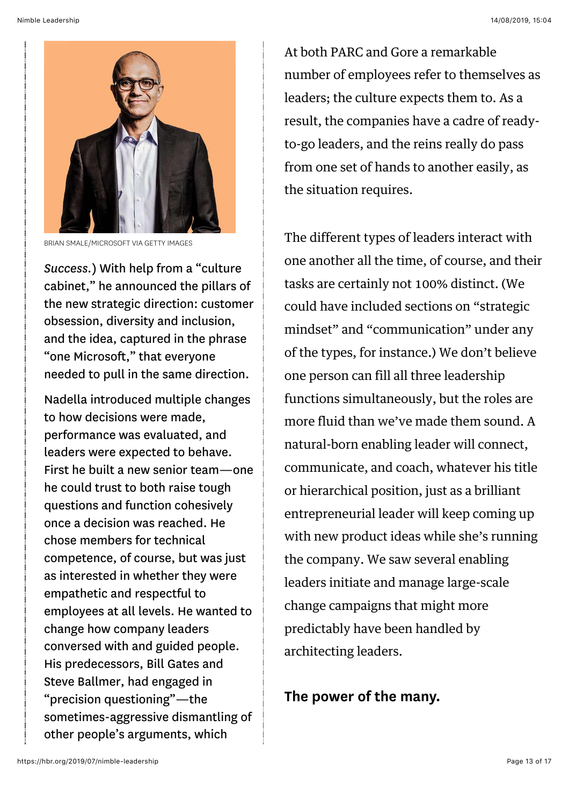

BRIAN SMALE/MICROSOFT VIA GETTY IMAGES

Success.) With help from a "culture cabinet," he announced the pillars of the new strategic direction: customer obsession, diversity and inclusion, and the idea, captured in the phrase "one Microsoft," that everyone needed to pull in the same direction.

Nadella introduced multiple changes to how decisions were made, performance was evaluated, and leaders were expected to behave. First he built a new senior team—one he could trust to both raise tough questions and function cohesively once a decision was reached. He chose members for technical competence, of course, but was just as interested in whether they were empathetic and respectful to employees at all levels. He wanted to change how company leaders conversed with and guided people. His predecessors, Bill Gates and Steve Ballmer, had engaged in "precision questioning"—the sometimes-aggressive dismantling of other people's arguments, which

At both PARC and Gore a remarkable number of employees refer to themselves as leaders; the culture expects them to. As a result, the companies have a cadre of readyto-go leaders, and the reins really do pass from one set of hands to another easily, as the situation requires.

The different types of leaders interact with one another all the time, of course, and their tasks are certainly not 100% distinct. (We could have included sections on "strategic mindset" and "communication" under any of the types, for instance.) We don't believe one person can fill all three leadership functions simultaneously, but the roles are more fluid than we've made them sound. A natural-born enabling leader will connect, communicate, and coach, whatever his title or hierarchical position, just as a brilliant entrepreneurial leader will keep coming up with new product ideas while she's running the company. We saw several enabling leaders initiate and manage large-scale change campaigns that might more predictably have been handled by architecting leaders.

The power of the many.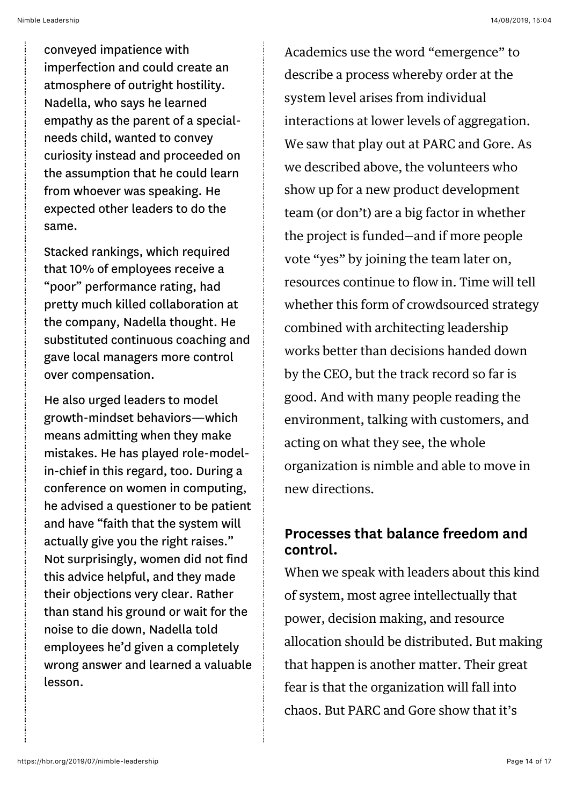conveyed impatience with [imperfection and could create an](https://techcrunch.com/2019/02/04/after-5-years-microsoft-ceo-satya-nadella-has-transformed-more-than-the-stock-price/) atmosphere of outright hostility. Nadella, who says he learned empathy as the parent of a specialneeds child, wanted to convey curiosity instead and proceeded on the assumption that he could learn from whoever was speaking. He expected other leaders to do the same.

Stacked rankings, which required that 10% of employees receive a "poor" performance rating, had pretty much killed collaboration at the company, Nadella thought. He substituted continuous coaching and gave local managers more control over compensation.

He also urged leaders to model growth-mindset behaviors—which means admitting when they make mistakes. He has played role-modelin-chief in this regard, too. During a conference on women in computing, he advised a questioner to be patient and have "faith that the system will actually give you the right raises." Not surprisingly, women did not find this advice helpful, and they made their objections very clear. Rather than stand his ground or wait for the noise to die down, Nadella told employees he'd given a completely wrong answer and learned a valuable lesson.

Academics use the word "emergence" to describe a process whereby order at the system level arises from individual interactions at lower levels of aggregation. We saw that play out at PARC and Gore. As we described above, the volunteers who show up for a new product development team (or don't) are a big factor in whether the project is funded—and if more people vote "yes" by joining the team later on, resources continue to flow in. Time will tell whether this form of crowdsourced strategy combined with architecting leadership works better than decisions handed down by the CEO, but the track record so far is good. And with many people reading the environment, talking with customers, and acting on what they see, the whole organization is nimble and able to move in new directions.

## Processes that balance freedom and control.

When we speak with leaders about this kind of system, most agree intellectually that power, decision making, and resource allocation should be distributed. But making that happen is another matter. Their great fear is that the organization will fall into chaos. But PARC and Gore show that it's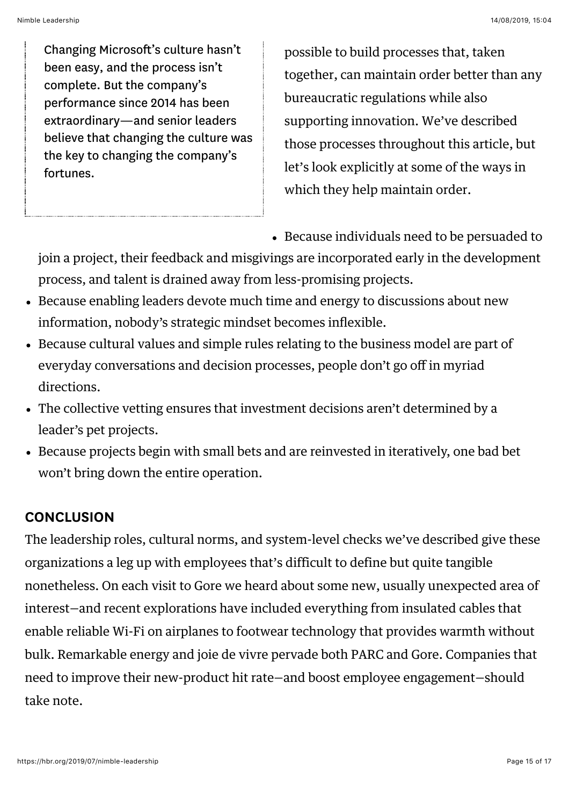Changing Microsoft's culture hasn't been easy, and the process isn't complete. But the company's performance since 2014 has been extraordinary—and senior leaders believe that changing the culture was the key to changing the company's fortunes.

possible to build processes that, taken together, can maintain order better than any bureaucratic regulations while also supporting innovation. We've described those processes throughout this article, but let's look explicitly at some of the ways in which they help maintain order.

Because individuals need to be persuaded to

join a project, their feedback and misgivings are incorporated early in the development process, and talent is drained away from less-promising projects.

- Because enabling leaders devote much time and energy to discussions about new information, nobody's strategic mindset becomes inflexible.
- Because cultural values and simple rules relating to the business model are part of everyday conversations and decision processes, people don't go off in myriad directions.
- The collective vetting ensures that investment decisions aren't determined by a leader's pet projects.
- Because projects begin with small bets and are reinvested in iteratively, one bad bet won't bring down the entire operation.

#### **CONCLUSION**

The leadership roles, cultural norms, and system-level checks we've described give these organizations a leg up with employees that's difficult to define but quite tangible nonetheless. On each visit to Gore we heard about some new, usually unexpected area of interest—and recent explorations have included everything from insulated cables that enable reliable Wi-Fi on airplanes to footwear technology that provides warmth without bulk. Remarkable energy and joie de vivre pervade both PARC and Gore. Companies that need to improve their new-product hit rate—and boost employee engagement—should take note.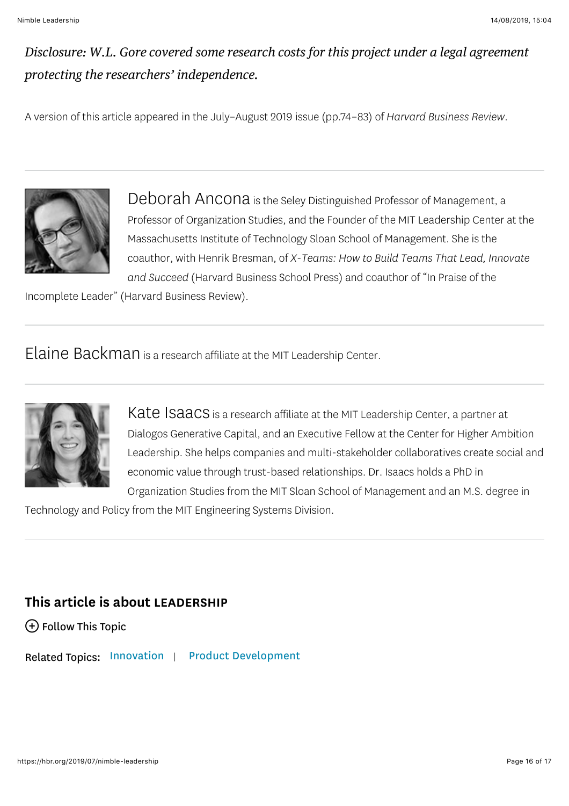## *Disclosure: W.L. Gore covered some research costs for this project under a legal agreement protecting the researchers' independence.*

A version of this article appeared in the [July–August 2019](https://hbr.org/archive-toc/BR1904) issue (pp.74–83) of Harvard Business Review.



[Deborah Ancona](https://hbr.org/search?term=deborah%20ancona&search_type=search-all) is the Seley Distinguished Professor of Management, a Professor of Organization Studies, and the Founder of the [MIT Leadership Center](http://leadership.mit.edu/) at the Massachusetts Institute of Technology Sloan School of Management. She is the [coauthor, with Henrik Bresman, of X-Teams: How to Build Teams That Lead, Innovate](https://amazon.com/X-teams-Build-Teams-Innovate-Succeed/dp/1591396921) [and Succeed \(Harvard Business School Press\) and coauthor of "In Praise of the](https://hbr.org/2007/02/in-praise-of-the-incomplete-leader)

Incomplete Leader" (Harvard Business Review).

[Elaine Backman](https://hbr.org/search?term=elaine%20backman&search_type=search-all) is a research affiliate at the MIT Leadership Center.



[Kate Isaacs](https://hbr.org/search?term=kate%20isaacs&search_type=search-all) is a research affiliate at the MIT Leadership Center, a partner at Dialogos Generative Capital, and an Executive Fellow at the Center for Higher Ambition Leadership. She helps companies and multi-stakeholder collaboratives create social and economic value through trust-based relationships. Dr. Isaacs holds a PhD in Organization Studies from the MIT Sloan School of Management and an M.S. degree in

Technology and Policy from the MIT Engineering Systems Division.

#### This article is about [LEADERSHIP](https://hbr.org/topic/leadership)

 [Follow This Topic](https://hbr.org/2019/07/nimble-leadership#)

Related Topics: [Innovation](https://hbr.org/topic/innovation) | [Product Development](https://hbr.org/topic/product-development)